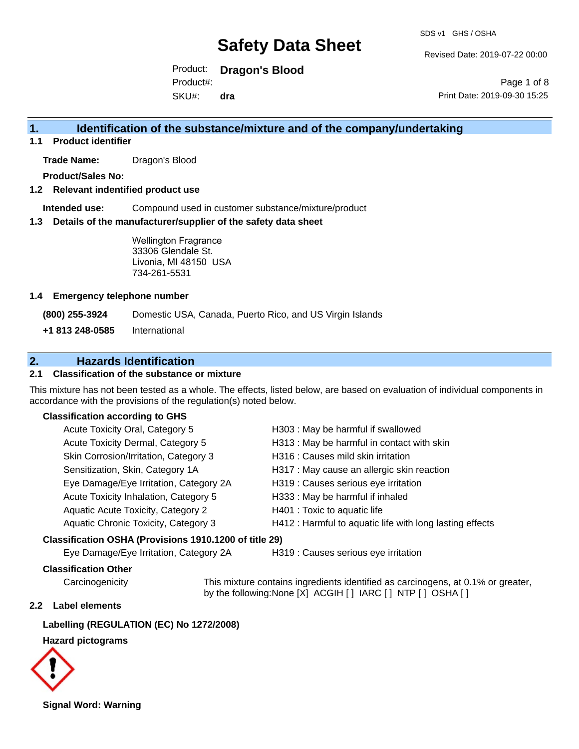Revised Date: 2019-07-22 00:00

Product: **Dragon's Blood** SKU#: Product#: **dra**

Page 1 of 8 Print Date: 2019-09-30 15:25

### **1. Identification of the substance/mixture and of the company/undertaking**

**1.1 Product identifier**

**Trade Name:** Dragon's Blood

**Product/Sales No:**

#### **1.2 Relevant indentified product use**

**Intended use:** Compound used in customer substance/mixture/product

#### **1.3 Details of the manufacturer/supplier of the safety data sheet**

Wellington Fragrance 33306 Glendale St. Livonia, MI 48150 USA 734-261-5531

#### **1.4 Emergency telephone number**

**(800) 255-3924** Domestic USA, Canada, Puerto Rico, and US Virgin Islands

**+1 813 248-0585** International

### **2. Hazards Identification**

#### **2.1 Classification of the substance or mixture**

This mixture has not been tested as a whole. The effects, listed below, are based on evaluation of individual components in accordance with the provisions of the regulation(s) noted below.

#### **Classification according to GHS**

| Acute Toxicity Oral, Category 5                        | H303 : May be harmful if swallowed                       |
|--------------------------------------------------------|----------------------------------------------------------|
| Acute Toxicity Dermal, Category 5                      | H313 : May be harmful in contact with skin               |
| Skin Corrosion/Irritation, Category 3                  | H316 : Causes mild skin irritation                       |
| Sensitization, Skin, Category 1A                       | H317 : May cause an allergic skin reaction               |
| Eye Damage/Eye Irritation, Category 2A                 | H319 : Causes serious eye irritation                     |
| Acute Toxicity Inhalation, Category 5                  | H333: May be harmful if inhaled                          |
| Aquatic Acute Toxicity, Category 2                     | H401 : Toxic to aquatic life                             |
| Aquatic Chronic Toxicity, Category 3                   | H412 : Harmful to aquatic life with long lasting effects |
| Classification OSHA (Provisions 1910.1200 of title 29) |                                                          |

Eye Damage/Eye Irritation, Category 2A H319 : Causes serious eye irritation

#### **Classification Other**

Carcinogenicity This mixture contains ingredients identified as carcinogens, at 0.1% or greater, by the following:None [X] ACGIH [ ] IARC [ ] NTP [ ] OSHA [ ]

#### **2.2 Label elements**

#### **Labelling (REGULATION (EC) No 1272/2008)**

#### **Hazard pictograms**



**Signal Word: Warning**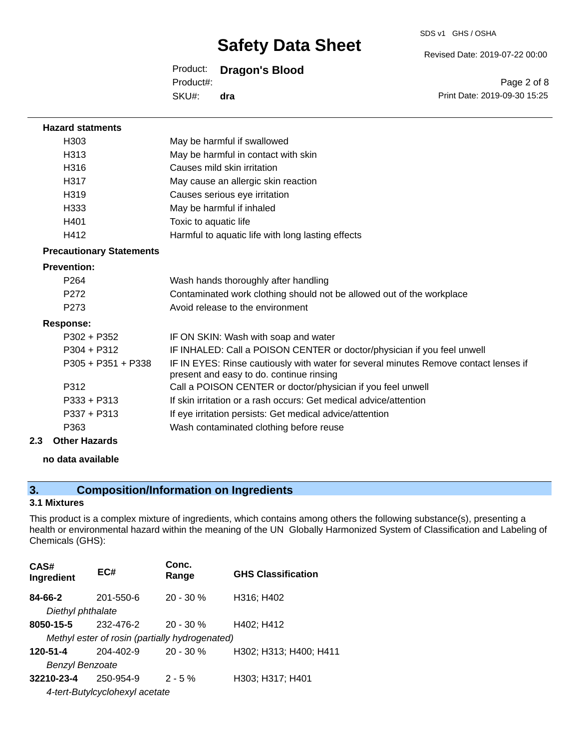SDS v1 GHS / OSHA

Revised Date: 2019-07-22 00:00

#### Product: **Dragon's Blood**

SKU#: Product#: **dra**

Page 2 of 8 Print Date: 2019-09-30 15:25

| <b>Hazard statments</b>         |                                                                                                                                  |
|---------------------------------|----------------------------------------------------------------------------------------------------------------------------------|
| H303                            | May be harmful if swallowed                                                                                                      |
| H313                            | May be harmful in contact with skin                                                                                              |
| H316                            | Causes mild skin irritation                                                                                                      |
| H317                            | May cause an allergic skin reaction                                                                                              |
| H <sub>319</sub>                | Causes serious eye irritation                                                                                                    |
| H333                            | May be harmful if inhaled                                                                                                        |
| H401                            | Toxic to aquatic life                                                                                                            |
| H412                            | Harmful to aquatic life with long lasting effects                                                                                |
| <b>Precautionary Statements</b> |                                                                                                                                  |
| <b>Prevention:</b>              |                                                                                                                                  |
| P <sub>264</sub>                | Wash hands thoroughly after handling                                                                                             |
| P <sub>272</sub>                | Contaminated work clothing should not be allowed out of the workplace                                                            |
| P <sub>273</sub>                | Avoid release to the environment                                                                                                 |
| <b>Response:</b>                |                                                                                                                                  |
| $P302 + P352$                   | IF ON SKIN: Wash with soap and water                                                                                             |
| $P304 + P312$                   | IF INHALED: Call a POISON CENTER or doctor/physician if you feel unwell                                                          |
| $P305 + P351 + P338$            | IF IN EYES: Rinse cautiously with water for several minutes Remove contact lenses if<br>present and easy to do. continue rinsing |
| P312                            | Call a POISON CENTER or doctor/physician if you feel unwell                                                                      |
| $P333 + P313$                   | If skin irritation or a rash occurs: Get medical advice/attention                                                                |
| $P337 + P313$                   | If eye irritation persists: Get medical advice/attention                                                                         |
| P363                            | Wash contaminated clothing before reuse                                                                                          |
| <b>Other Hazards</b><br>2.3     |                                                                                                                                  |
|                                 |                                                                                                                                  |

#### **no data available**

## **3. Composition/Information on Ingredients**

#### **3.1 Mixtures**

This product is a complex mixture of ingredients, which contains among others the following substance(s), presenting a health or environmental hazard within the meaning of the UN Globally Harmonized System of Classification and Labeling of Chemicals (GHS):

| CAS#<br>Ingredient     | EC#                            | Conc.<br>Range                                 | <b>GHS Classification</b> |
|------------------------|--------------------------------|------------------------------------------------|---------------------------|
| 84-66-2                | 201-550-6                      | $20 - 30 %$                                    | H316; H402                |
| Diethyl phthalate      |                                |                                                |                           |
| 8050-15-5              | 232-476-2                      | $20 - 30 %$                                    | H402; H412                |
|                        |                                | Methyl ester of rosin (partially hydrogenated) |                           |
| 120-51-4               | $204 - 402 - 9$                | $20 - 30 %$                                    | H302; H313; H400; H411    |
| <b>Benzyl Benzoate</b> |                                |                                                |                           |
| 32210-23-4             | 250-954-9                      | $2 - 5%$                                       | H303; H317; H401          |
|                        | 4-tert-Butylcyclohexyl acetate |                                                |                           |
|                        |                                |                                                |                           |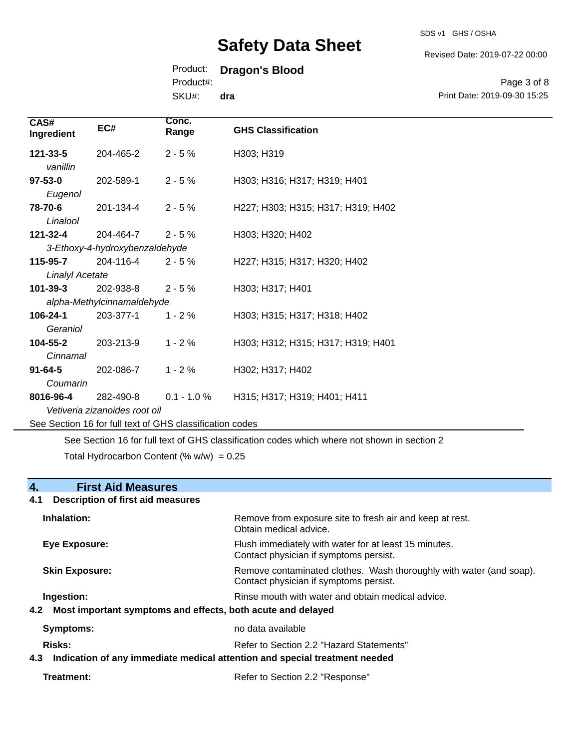SDS v1 GHS / OSHA

Revised Date: 2019-07-22 00:00

### Product: **Dragon's Blood**

Product#:

SKU#: **dra**

Page 3 of 8 Print Date: 2019-09-30 15:25

| CAS#<br>Ingredient       | EC#                                                      | Conc.<br>Range | <b>GHS Classification</b>          |
|--------------------------|----------------------------------------------------------|----------------|------------------------------------|
| 121-33-5<br>vanillin     | 204-465-2                                                | $2 - 5%$       | H303; H319                         |
| $97 - 53 - 0$<br>Eugenol | 202-589-1                                                | $2 - 5%$       | H303; H316; H317; H319; H401       |
| 78-70-6<br>Linalool      | 201-134-4                                                | $2 - 5%$       | H227; H303; H315; H317; H319; H402 |
| 121-32-4                 | 204-464-7                                                | $2 - 5%$       | H303; H320; H402                   |
|                          | 3-Ethoxy-4-hydroxybenzaldehyde                           |                |                                    |
| 115-95-7                 | 204-116-4                                                | $2 - 5%$       | H227; H315; H317; H320; H402       |
| <b>Linalyl Acetate</b>   |                                                          |                |                                    |
| 101-39-3                 | 202-938-8                                                | $2 - 5%$       | H303; H317; H401                   |
|                          | alpha-Methylcinnamaldehyde                               |                |                                    |
| 106-24-1                 | 203-377-1                                                | $1 - 2%$       | H303; H315; H317; H318; H402       |
| Geraniol                 |                                                          |                |                                    |
| 104-55-2                 | 203-213-9                                                | $1 - 2%$       | H303; H312; H315; H317; H319; H401 |
| Cinnamal                 |                                                          |                |                                    |
| $91 - 64 - 5$            | 202-086-7                                                | $1 - 2%$       | H302; H317; H402                   |
| Coumarin                 |                                                          |                |                                    |
| 8016-96-4                | 282-490-8                                                | $0.1 - 1.0 \%$ | H315; H317; H319; H401; H411       |
|                          | Vetiveria zizanoides root oil                            |                |                                    |
|                          | See Section 16 for full text of GHS classification codes |                |                                    |

See Section 16 for full text of GHS classification codes which where not shown in section 2

Total Hydrocarbon Content (%  $w/w$ ) = 0.25

## **4. First Aid Measures**

# **4.1 Description of first aid measures**

| Inhalation:                                                                                 | Remove from exposure site to fresh air and keep at rest.<br>Obtain medical advice.                            |
|---------------------------------------------------------------------------------------------|---------------------------------------------------------------------------------------------------------------|
| Eye Exposure:                                                                               | Flush immediately with water for at least 15 minutes.<br>Contact physician if symptoms persist.               |
| <b>Skin Exposure:</b>                                                                       | Remove contaminated clothes. Wash thoroughly with water (and soap).<br>Contact physician if symptoms persist. |
| Ingestion:<br>4.2 Most important symptoms and effects, both acute and delayed               | Rinse mouth with water and obtain medical advice.                                                             |
| <b>Symptoms:</b>                                                                            | no data available                                                                                             |
| Risks:<br>Indication of any immediate medical attention and special treatment needed<br>4.3 | Refer to Section 2.2 "Hazard Statements"                                                                      |

| Treatment: | Refer to Section 2.2 "Response" |
|------------|---------------------------------|
|------------|---------------------------------|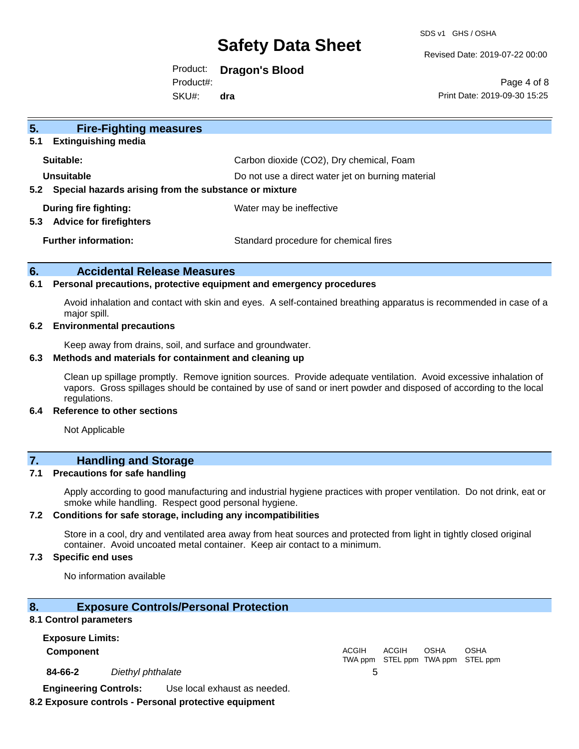SDS v1 GHS / OSHA

Revised Date: 2019-07-22 00:00

Product: **Dragon's Blood** Product#:

SKU#: **dra**

Page 4 of 8 Print Date: 2019-09-30 15:25

| 5 <sub>1</sub><br><b>Fire-Fighting measures</b>           |                                                   |
|-----------------------------------------------------------|---------------------------------------------------|
| <b>Extinguishing media</b><br>5.1                         |                                                   |
| Suitable:                                                 | Carbon dioxide (CO2), Dry chemical, Foam          |
| Unsuitable                                                | Do not use a direct water jet on burning material |
| 5.2 Special hazards arising from the substance or mixture |                                                   |
| During fire fighting:                                     | Water may be ineffective                          |
| <b>Advice for firefighters</b><br>5.3                     |                                                   |
| <b>Further information:</b>                               | Standard procedure for chemical fires             |
|                                                           |                                                   |

#### **6. Accidental Release Measures**

#### **6.1 Personal precautions, protective equipment and emergency procedures**

Avoid inhalation and contact with skin and eyes. A self-contained breathing apparatus is recommended in case of a major spill.

#### **6.2 Environmental precautions**

Keep away from drains, soil, and surface and groundwater.

#### **6.3 Methods and materials for containment and cleaning up**

Clean up spillage promptly. Remove ignition sources. Provide adequate ventilation. Avoid excessive inhalation of vapors. Gross spillages should be contained by use of sand or inert powder and disposed of according to the local regulations.

#### **6.4 Reference to other sections**

Not Applicable

### **7. Handling and Storage**

#### **7.1 Precautions for safe handling**

Apply according to good manufacturing and industrial hygiene practices with proper ventilation. Do not drink, eat or smoke while handling. Respect good personal hygiene.

#### **7.2 Conditions for safe storage, including any incompatibilities**

Store in a cool, dry and ventilated area away from heat sources and protected from light in tightly closed original container. Avoid uncoated metal container. Keep air contact to a minimum.

#### **7.3 Specific end uses**

No information available

#### **8. Exposure Controls/Personal Protection**

#### **8.1 Control parameters**

| <b>Exposure Limits:</b>      |                   |                              |              |              |      |                                           |  |
|------------------------------|-------------------|------------------------------|--------------|--------------|------|-------------------------------------------|--|
| <b>Component</b>             |                   |                              | <b>ACGIH</b> | <b>ACGIH</b> | OSHA | OSHA<br>TWA ppm STEL ppm TWA ppm STEL ppm |  |
| 84-66-2                      | Diethyl phthalate |                              |              |              |      |                                           |  |
| <b>Engineering Controls:</b> |                   | Use local exhaust as needed. |              |              |      |                                           |  |

#### **8.2 Exposure controls - Personal protective equipment**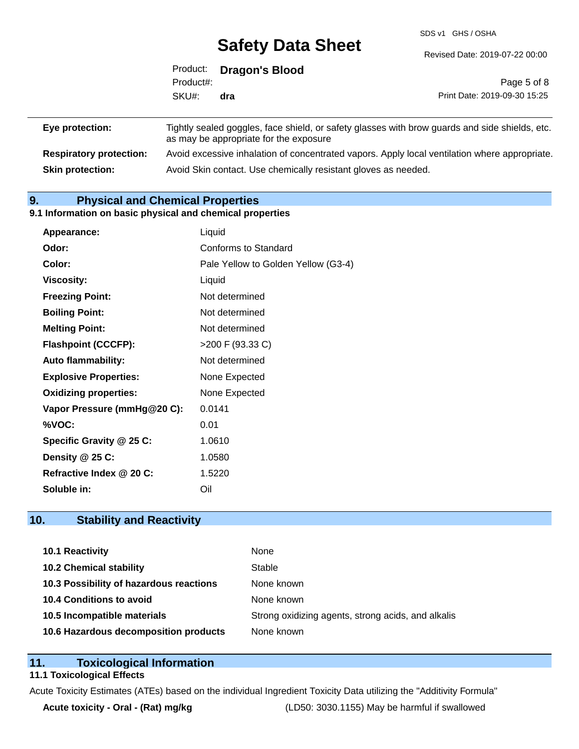SDS v1 GHS / OSHA

Revised Date: 2019-07-22 00:00

|                 |           | Product: Dragon's Blood                |                                                                                                |
|-----------------|-----------|----------------------------------------|------------------------------------------------------------------------------------------------|
|                 | Product#: |                                        | Page 5 of 8                                                                                    |
|                 | SKU#:     | dra                                    | Print Date: 2019-09-30 15:25                                                                   |
| Eye protection: |           |                                        | Tightly sealed goggles, face shield, or safety glasses with brow guards and side shields, etc. |
|                 |           | as may be appropriate for the exposure |                                                                                                |

**Respiratory protection:** Avoid excessive inhalation of concentrated vapors. Apply local ventilation where appropriate. **Skin protection:** Avoid Skin contact. Use chemically resistant gloves as needed.

### **9. Physical and Chemical Properties**

#### **9.1 Information on basic physical and chemical properties**

| Appearance:                  | Liquid                              |
|------------------------------|-------------------------------------|
| Odor:                        | Conforms to Standard                |
| Color:                       | Pale Yellow to Golden Yellow (G3-4) |
| <b>Viscosity:</b>            | Liquid                              |
| <b>Freezing Point:</b>       | Not determined                      |
| <b>Boiling Point:</b>        | Not determined                      |
| <b>Melting Point:</b>        | Not determined                      |
| <b>Flashpoint (CCCFP):</b>   | >200 F (93.33 C)                    |
| <b>Auto flammability:</b>    | Not determined                      |
| <b>Explosive Properties:</b> | None Expected                       |
| <b>Oxidizing properties:</b> | None Expected                       |
| Vapor Pressure (mmHg@20 C):  | 0.0141                              |
| %VOC:                        | 0.01                                |
| Specific Gravity @ 25 C:     | 1.0610                              |
| Density @ 25 C:              | 1.0580                              |
| Refractive Index @ 20 C:     | 1.5220                              |
| Soluble in:                  | Oil                                 |

### **10. Stability and Reactivity**

| 10.1 Reactivity                         | None                                               |
|-----------------------------------------|----------------------------------------------------|
| <b>10.2 Chemical stability</b>          | Stable                                             |
| 10.3 Possibility of hazardous reactions | None known                                         |
| 10.4 Conditions to avoid                | None known                                         |
| 10.5 Incompatible materials             | Strong oxidizing agents, strong acids, and alkalis |
| 10.6 Hazardous decomposition products   | None known                                         |

#### **11. Toxicological Information**

#### **11.1 Toxicological Effects**

Acute Toxicity Estimates (ATEs) based on the individual Ingredient Toxicity Data utilizing the "Additivity Formula"

**Acute toxicity - Oral - (Rat) mg/kg** (LD50: 3030.1155) May be harmful if swallowed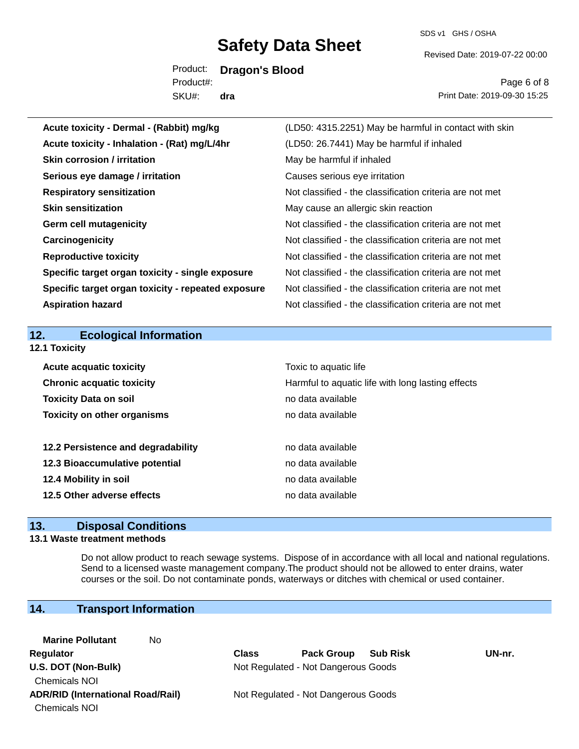SDS v1 GHS / OSHA

Revised Date: 2019-07-22 00:00

Product: **Dragon's Blood** SKU#: Product#: **dra**

Page 6 of 8 Print Date: 2019-09-30 15:25

| Acute toxicity - Dermal - (Rabbit) mg/kg           | (LD50: 4315.2251) May be harmful in contact with skin    |
|----------------------------------------------------|----------------------------------------------------------|
| Acute toxicity - Inhalation - (Rat) mg/L/4hr       | (LD50: 26.7441) May be harmful if inhaled                |
| <b>Skin corrosion / irritation</b>                 | May be harmful if inhaled                                |
| Serious eye damage / irritation                    | Causes serious eye irritation                            |
| <b>Respiratory sensitization</b>                   | Not classified - the classification criteria are not met |
| <b>Skin sensitization</b>                          | May cause an allergic skin reaction                      |
| <b>Germ cell mutagenicity</b>                      | Not classified - the classification criteria are not met |
| Carcinogenicity                                    | Not classified - the classification criteria are not met |
| <b>Reproductive toxicity</b>                       | Not classified - the classification criteria are not met |
| Specific target organ toxicity - single exposure   | Not classified - the classification criteria are not met |
| Specific target organ toxicity - repeated exposure | Not classified - the classification criteria are not met |
| <b>Aspiration hazard</b>                           | Not classified - the classification criteria are not met |
|                                                    |                                                          |
|                                                    |                                                          |
| 12.<br><b>Ecological Information</b>               |                                                          |
| 12.1 Toxicity                                      |                                                          |
| <b>Acute acquatic toxicity</b>                     | Toxic to aquatic life                                    |
| <b>Chronic acquatic toxicity</b>                   | Harmful to aquatic life with long lasting effects        |
| <b>Toxicity Data on soil</b>                       | no data available                                        |
| <b>Toxicity on other organisms</b>                 | no data available                                        |
|                                                    |                                                          |
| 12.2 Persistence and degradability                 | no data available                                        |
| 12.3 Bioaccumulative potential                     | no data available                                        |
| 12.4 Mobility in soil                              | no data available                                        |
| 12.5 Other adverse effects                         | no data available                                        |

### **13. Disposal Conditions**

#### **13.1 Waste treatment methods**

Do not allow product to reach sewage systems. Dispose of in accordance with all local and national regulations. Send to a licensed waste management company.The product should not be allowed to enter drains, water courses or the soil. Do not contaminate ponds, waterways or ditches with chemical or used container.

### **14. Transport Information**

**Marine Pollutant** No Chemicals NOI Chemicals NOI

**Regulator Class Pack Group Sub Risk UN-nr. U.S. DOT (Non-Bulk)** Not Regulated - Not Dangerous Goods

**ADR/RID (International Road/Rail)** Not Regulated - Not Dangerous Goods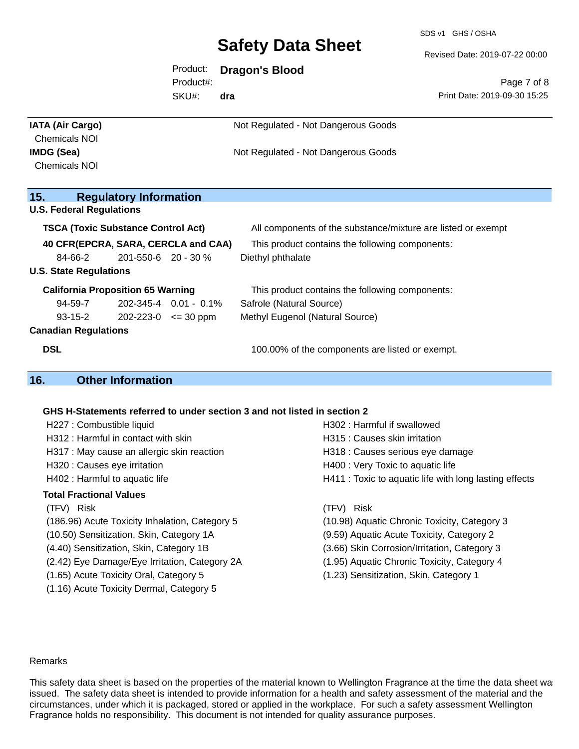SDS v1 GHS / OSHA

Revised Date: 2019-07-22 00:00

| Product:  | <b>Dragon's Blood</b> |  |
|-----------|-----------------------|--|
| Product#: |                       |  |

SKU#: **dra**

Page 7 of 8 Print Date: 2019-09-30 15:25

| <b>IATA (Air Cargo)</b>                   |                               |                             | Not Regulated - Not Dangerous Goods                          |
|-------------------------------------------|-------------------------------|-----------------------------|--------------------------------------------------------------|
| <b>Chemicals NOI</b>                      |                               |                             |                                                              |
| IMDG (Sea)                                |                               |                             | Not Regulated - Not Dangerous Goods                          |
| <b>Chemicals NOI</b>                      |                               |                             |                                                              |
|                                           |                               |                             |                                                              |
| 15.                                       | <b>Regulatory Information</b> |                             |                                                              |
| <b>U.S. Federal Regulations</b>           |                               |                             |                                                              |
| <b>TSCA (Toxic Substance Control Act)</b> |                               |                             | All components of the substance/mixture are listed or exempt |
| 40 CFR(EPCRA, SARA, CERCLA and CAA)       |                               |                             | This product contains the following components:              |
| 84-66-2                                   | 201-550-6 20 - 30 %           |                             | Diethyl phthalate                                            |
| <b>U.S. State Regulations</b>             |                               |                             |                                                              |
| <b>California Proposition 65 Warning</b>  |                               |                             | This product contains the following components:              |
| 94-59-7                                   |                               | 202-345-4 0.01 - 0.1%       | Safrole (Natural Source)                                     |
| $93 - 15 - 2$                             |                               | $202 - 223 - 0 \leq 30$ ppm | Methyl Eugenol (Natural Source)                              |
| <b>Canadian Regulations</b>               |                               |                             |                                                              |
| <b>DSL</b>                                |                               |                             | 100.00% of the components are listed or exempt.              |
| 16.                                       | <b>Other Information</b>      |                             |                                                              |

#### **GHS H-Statements referred to under section 3 and not listed in section 2**

| H227 : Combustible liquid                      | H302 : Harmful if swallowed                            |
|------------------------------------------------|--------------------------------------------------------|
| H312 : Harmful in contact with skin            | H315 : Causes skin irritation                          |
| H317 : May cause an allergic skin reaction     | H318 : Causes serious eye damage                       |
| H320 : Causes eye irritation                   | H400 : Very Toxic to aquatic life                      |
| H402 : Harmful to aquatic life                 | H411 : Toxic to aquatic life with long lasting effects |
| <b>Total Fractional Values</b>                 |                                                        |
| (TFV) Risk                                     | (TFV) Risk                                             |
| (186.96) Acute Toxicity Inhalation, Category 5 | (10.98) Aquatic Chronic Toxicity, Category 3           |
| (10.50) Sensitization, Skin, Category 1A       | (9.59) Aquatic Acute Toxicity, Category 2              |
| (4.40) Sensitization, Skin, Category 1B        | (3.66) Skin Corrosion/Irritation, Category 3           |
| (2.42) Eye Damage/Eye Irritation, Category 2A  | (1.95) Aquatic Chronic Toxicity, Category 4            |
| (1.65) Acute Toxicity Oral, Category 5         | (1.23) Sensitization, Skin, Category 1                 |
| (1.16) Acute Toxicity Dermal, Category 5       |                                                        |
|                                                |                                                        |

#### Remarks

This safety data sheet is based on the properties of the material known to Wellington Fragrance at the time the data sheet was issued. The safety data sheet is intended to provide information for a health and safety assessment of the material and the circumstances, under which it is packaged, stored or applied in the workplace. For such a safety assessment Wellington Fragrance holds no responsibility. This document is not intended for quality assurance purposes.